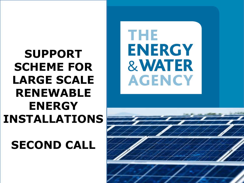# **SUPPORT SCHEME FOR LARGE SCALE RENEWABLE ENERGY INSTALLATIONS**

**SECOND CALL**

THE **ENERGY & WATER AGENCY** 

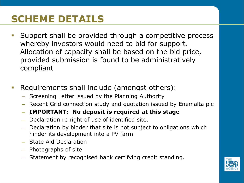## **SCHEME DETAILS**

- **Support shall be provided through a competitive process** whereby investors would need to bid for support. Allocation of capacity shall be based on the bid price, provided submission is found to be administratively compliant
- **Requirements shall include (amongst others):** 
	- Screening Letter issued by the Planning Authority
	- Recent Grid connection study and quotation issued by Enemalta plc
	- **IMPORTANT: No deposit is required at this stage**
	- Declaration re right of use of identified site.
	- Declaration by bidder that site is not subject to obligations which hinder its development into a PV farm
	- State Aid Declaration
	- Photographs of site
	- Statement by recognised bank certifying credit standing.

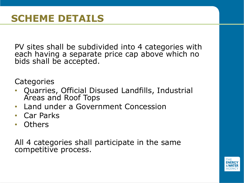PV sites shall be subdivided into 4 categories with each having a separate price cap above which no bids shall be accepted.

**Categories** 

- Quarries, Official Disused Landfills, Industrial Areas and Roof Tops
- Land under a Government Concession
- Car Parks
- Others

All 4 categories shall participate in the same competitive process.

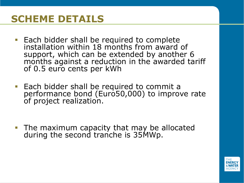#### **SCHEME DETAILS**

- **Each bidder shall be required to complete** installation within 18 months from award of support, which can be extended by another 6 months against a reduction in the awarded tariff of 0.5 euro cents per kWh
- **Each bidder shall be required to commit a** performance bond (Euro50,000) to improve rate of project realization.

 The maximum capacity that may be allocated during the second tranche is 35MWp.

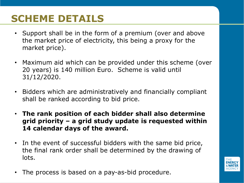## **SCHEME DETAILS**

- Support shall be in the form of a premium (over and above the market price of electricity, this being a proxy for the market price).
- Maximum aid which can be provided under this scheme (over 20 years) is 140 million Euro. Scheme is valid until 31/12/2020.
- Bidders which are administratively and financially compliant shall be ranked according to bid price.
- **The rank position of each bidder shall also determine grid priority – a grid study update is requested within 14 calendar days of the award.**
- In the event of successful bidders with the same bid price, the final rank order shall be determined by the drawing of lots.
- The process is based on a pay-as-bid procedure.